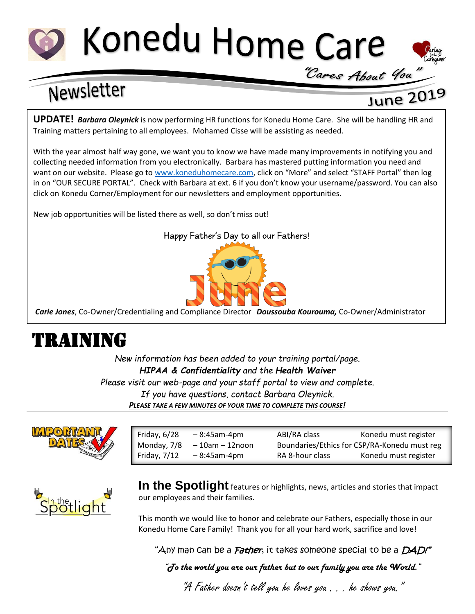# Konedu Home Care

## Newsletter

### June 2019

"Cares About You"

**UPDATE!** *Barbara Oleynick* is now performing HR functions for Konedu Home Care. She will be handling HR and Training matters pertaining to all employees. Mohamed Cisse will be assisting as needed.

With the year almost half way gone, we want you to know we have made many improvements in notifying you and collecting needed information from you electronically. Barbara has mastered putting information you need and want on our website. Please go to [www.koneduhomecare.com,](http://www.koneduhomecare.com/) click on "More" and select "STAFF Portal" then log in on "OUR SECURE PORTAL". Check with Barbara at ext. 6 if you don't know your username/password. You can also click on Konedu Corner/Employment for our newsletters and employment opportunities.

New job opportunities will be listed there as well, so don't miss out!

#### Happy Father's Day to all our Fathers!



*Carie Jones*, Co-Owner/Credentialing and Compliance Director *Doussouba Kourouma,* Co-Owner/Administrator

### TRAINING

*New information has been added to your training portal/page. HIPAA & Confidentiality and the Health Waiver Please visit our web-page and your staff portal to view and complete. If you have questions, contact Barbara Oleynick. PLEASE TAKE A FEW MINUTES OF YOUR TIME TO COMPLETE THIS COURSE!*



| Friday, 6/28   | $-8:45$ am-4pm      | ABI/RA class                                 | Konedu must register |
|----------------|---------------------|----------------------------------------------|----------------------|
| Monday, 7/8    | $-10$ am $-12$ noon | Boundaries/Ethics for CSP/RA-Konedu must reg |                      |
| Friday, $7/12$ | $-8:45$ am-4pm      | RA 8-hour class                              | Konedu must register |
|                |                     |                                              |                      |



**In the Spotlight** features or highlights, news, articles and stories that impact our employees and their families.

This month we would like to honor and celebrate our Fathers, especially those in our Konedu Home Care Family! Thank you for all your hard work, sacrifice and love!

"Any man can be a *Father*, it takes someone special to be a *DAD!"* 

*"To the world you are our father but to our family you are the World."*

"A Father doesn't tell you he loves you . . . he shows you."